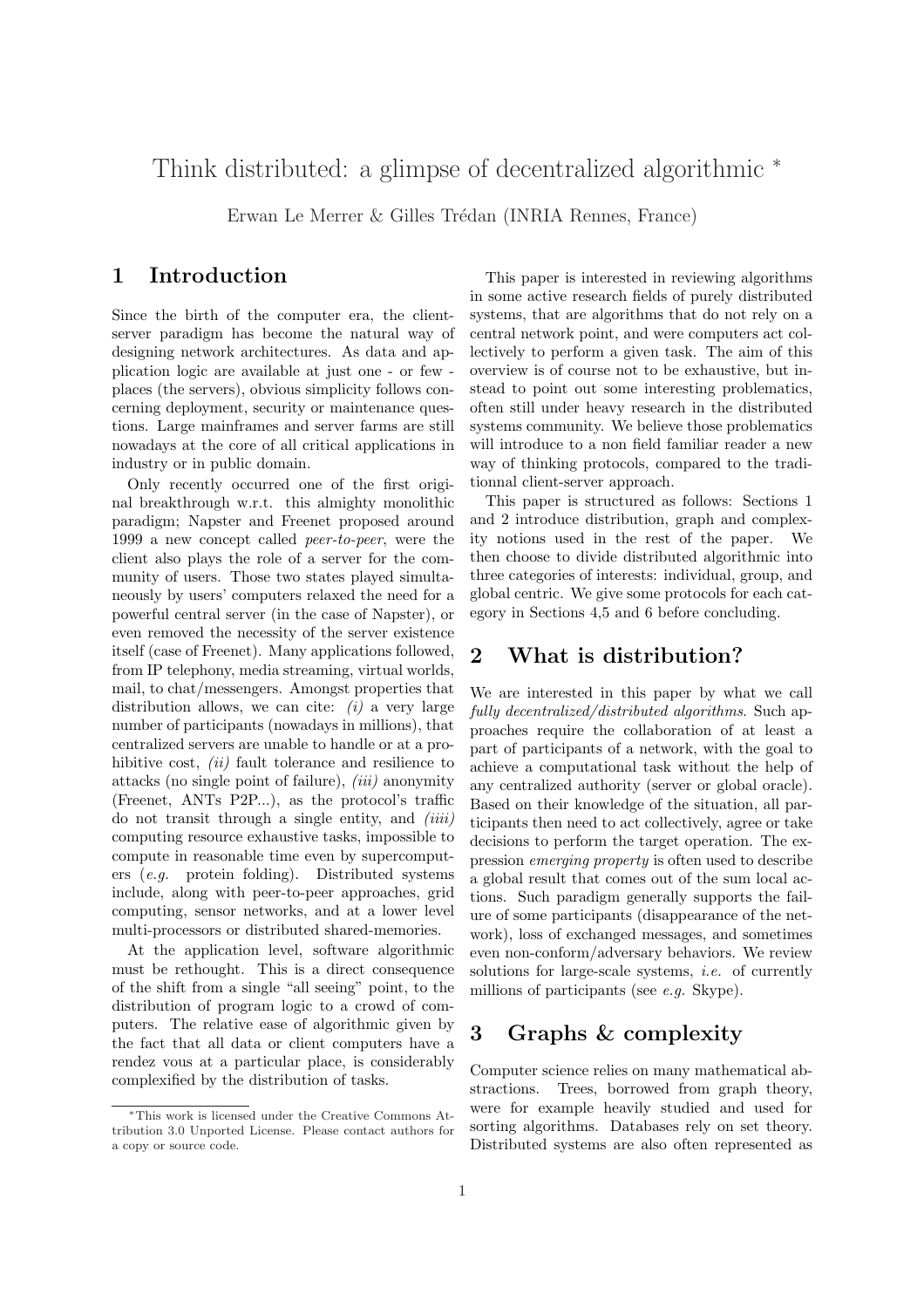# Think distributed: a glimpse of decentralized algorithmic <sup>∗</sup>

Erwan Le Merrer & Gilles Trédan (INRIA Rennes, France)

### 1 Introduction

Since the birth of the computer era, the clientserver paradigm has become the natural way of designing network architectures. As data and application logic are available at just one - or few places (the servers), obvious simplicity follows concerning deployment, security or maintenance questions. Large mainframes and server farms are still nowadays at the core of all critical applications in industry or in public domain.

Only recently occurred one of the first original breakthrough w.r.t. this almighty monolithic paradigm; Napster and Freenet proposed around 1999 a new concept called peer-to-peer, were the client also plays the role of a server for the community of users. Those two states played simultaneously by users' computers relaxed the need for a powerful central server (in the case of Napster), or even removed the necessity of the server existence itself (case of Freenet). Many applications followed, from IP telephony, media streaming, virtual worlds, mail, to chat/messengers. Amongst properties that distribution allows, we can cite:  $(i)$  a very large number of participants (nowadays in millions), that centralized servers are unable to handle or at a prohibitive cost,  $(ii)$  fault tolerance and resilience to attacks (no single point of failure),  $(iii)$  anonymity (Freenet, ANTs P2P...), as the protocol's traffic do not transit through a single entity, and *(iiii)* computing resource exhaustive tasks, impossible to compute in reasonable time even by supercomputers (e.g. protein folding). Distributed systems include, along with peer-to-peer approaches, grid computing, sensor networks, and at a lower level multi-processors or distributed shared-memories.

At the application level, software algorithmic must be rethought. This is a direct consequence of the shift from a single "all seeing" point, to the distribution of program logic to a crowd of computers. The relative ease of algorithmic given by the fact that all data or client computers have a rendez vous at a particular place, is considerably complexified by the distribution of tasks.

This paper is interested in reviewing algorithms in some active research fields of purely distributed systems, that are algorithms that do not rely on a central network point, and were computers act collectively to perform a given task. The aim of this overview is of course not to be exhaustive, but instead to point out some interesting problematics, often still under heavy research in the distributed systems community. We believe those problematics will introduce to a non field familiar reader a new way of thinking protocols, compared to the traditionnal client-server approach.

This paper is structured as follows: Sections 1 and 2 introduce distribution, graph and complexity notions used in the rest of the paper. We then choose to divide distributed algorithmic into three categories of interests: individual, group, and global centric. We give some protocols for each category in Sections 4,5 and 6 before concluding.

## 2 What is distribution?

We are interested in this paper by what we call fully decentralized/distributed algorithms. Such approaches require the collaboration of at least a part of participants of a network, with the goal to achieve a computational task without the help of any centralized authority (server or global oracle). Based on their knowledge of the situation, all participants then need to act collectively, agree or take decisions to perform the target operation. The expression emerging property is often used to describe a global result that comes out of the sum local actions. Such paradigm generally supports the failure of some participants (disappearance of the network), loss of exchanged messages, and sometimes even non-conform/adversary behaviors. We review solutions for large-scale systems, i.e. of currently millions of participants (see e.g. Skype).

## 3 Graphs & complexity

Computer science relies on many mathematical abstractions. Trees, borrowed from graph theory, were for example heavily studied and used for sorting algorithms. Databases rely on set theory. Distributed systems are also often represented as

<sup>∗</sup>This work is licensed under the Creative Commons Attribution 3.0 Unported License. Please contact authors for a copy or source code.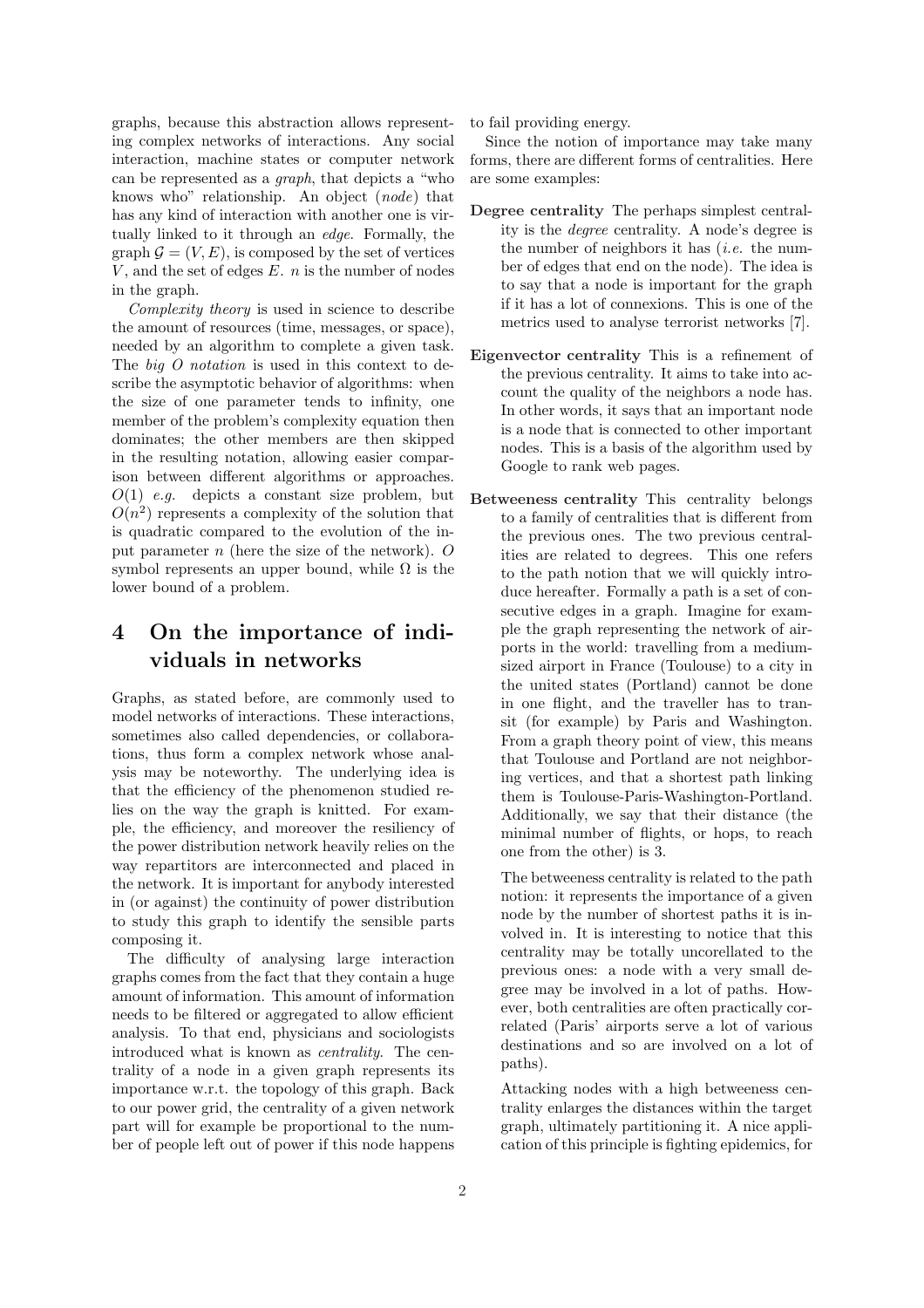graphs, because this abstraction allows representing complex networks of interactions. Any social interaction, machine states or computer network can be represented as a graph, that depicts a "who knows who" relationship. An object (node) that has any kind of interaction with another one is virtually linked to it through an edge. Formally, the graph  $\mathcal{G} = (V, E)$ , is composed by the set of vertices V, and the set of edges  $E$ . *n* is the number of nodes in the graph.

Complexity theory is used in science to describe the amount of resources (time, messages, or space), needed by an algorithm to complete a given task. The big O notation is used in this context to describe the asymptotic behavior of algorithms: when the size of one parameter tends to infinity, one member of the problem's complexity equation then dominates; the other members are then skipped in the resulting notation, allowing easier comparison between different algorithms or approaches.  $O(1)$  e.g. depicts a constant size problem, but  $O(n^2)$  represents a complexity of the solution that is quadratic compared to the evolution of the input parameter n (here the size of the network). O symbol represents an upper bound, while  $\Omega$  is the lower bound of a problem.

## 4 On the importance of individuals in networks

Graphs, as stated before, are commonly used to model networks of interactions. These interactions, sometimes also called dependencies, or collaborations, thus form a complex network whose analysis may be noteworthy. The underlying idea is that the efficiency of the phenomenon studied relies on the way the graph is knitted. For example, the efficiency, and moreover the resiliency of the power distribution network heavily relies on the way repartitors are interconnected and placed in the network. It is important for anybody interested in (or against) the continuity of power distribution to study this graph to identify the sensible parts composing it.

The difficulty of analysing large interaction graphs comes from the fact that they contain a huge amount of information. This amount of information needs to be filtered or aggregated to allow efficient analysis. To that end, physicians and sociologists introduced what is known as centrality. The centrality of a node in a given graph represents its importance w.r.t. the topology of this graph. Back to our power grid, the centrality of a given network part will for example be proportional to the number of people left out of power if this node happens to fail providing energy.

Since the notion of importance may take many forms, there are different forms of centralities. Here are some examples:

- Degree centrality The perhaps simplest centrality is the degree centrality. A node's degree is the number of neighbors it has  $(i.e.$  the number of edges that end on the node). The idea is to say that a node is important for the graph if it has a lot of connexions. This is one of the metrics used to analyse terrorist networks [7].
- Eigenvector centrality This is a refinement of the previous centrality. It aims to take into account the quality of the neighbors a node has. In other words, it says that an important node is a node that is connected to other important nodes. This is a basis of the algorithm used by Google to rank web pages.
- Betweeness centrality This centrality belongs to a family of centralities that is different from the previous ones. The two previous centralities are related to degrees. This one refers to the path notion that we will quickly introduce hereafter. Formally a path is a set of consecutive edges in a graph. Imagine for example the graph representing the network of airports in the world: travelling from a mediumsized airport in France (Toulouse) to a city in the united states (Portland) cannot be done in one flight, and the traveller has to transit (for example) by Paris and Washington. From a graph theory point of view, this means that Toulouse and Portland are not neighboring vertices, and that a shortest path linking them is Toulouse-Paris-Washington-Portland. Additionally, we say that their distance (the minimal number of flights, or hops, to reach one from the other) is 3.

The betweeness centrality is related to the path notion: it represents the importance of a given node by the number of shortest paths it is involved in. It is interesting to notice that this centrality may be totally uncorellated to the previous ones: a node with a very small degree may be involved in a lot of paths. However, both centralities are often practically correlated (Paris' airports serve a lot of various destinations and so are involved on a lot of paths).

Attacking nodes with a high betweeness centrality enlarges the distances within the target graph, ultimately partitioning it. A nice application of this principle is fighting epidemics, for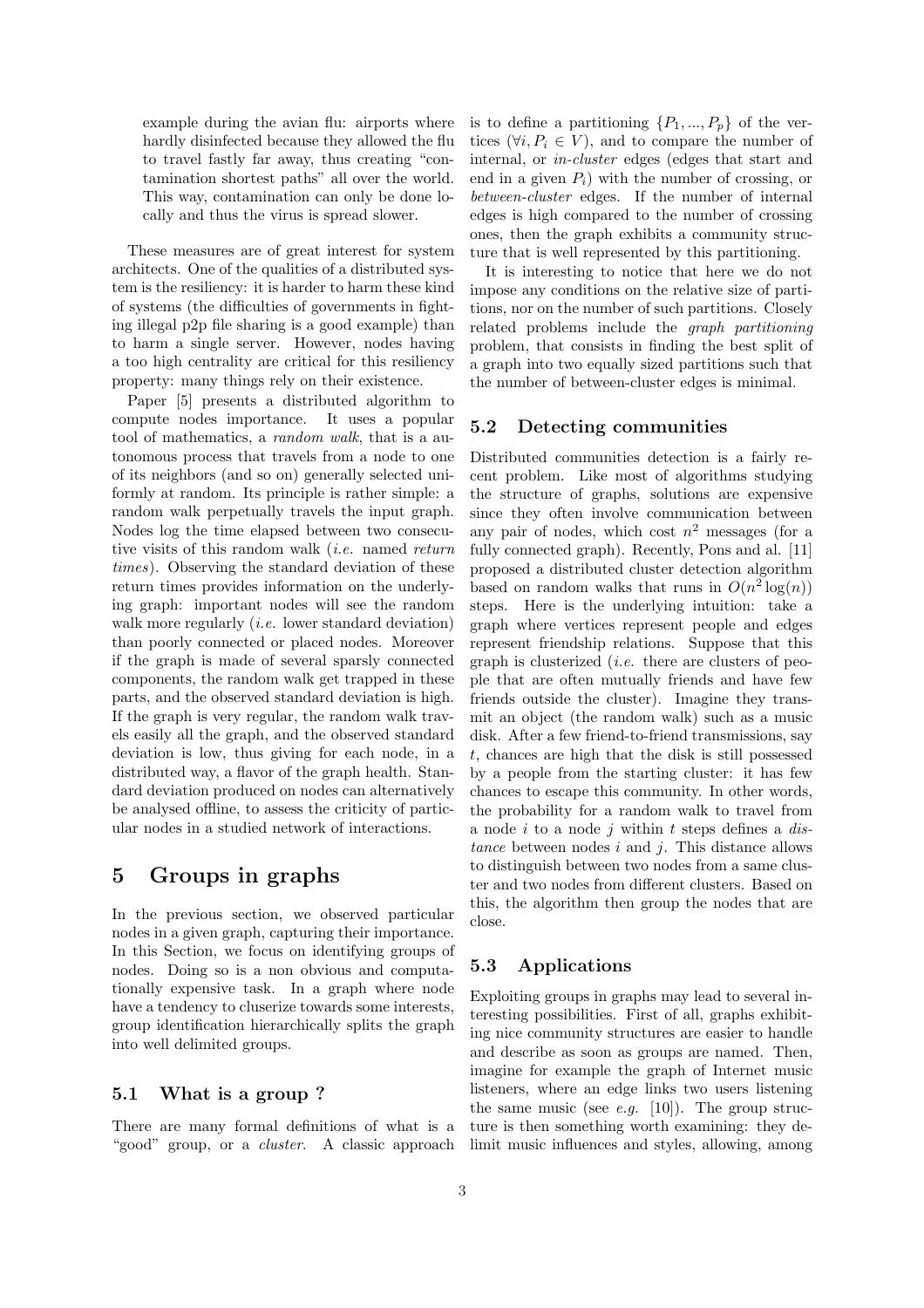example during the avian flu: airports where hardly disinfected because they allowed the flu to travel fastly far away, thus creating "contamination shortest paths" all over the world. This way, contamination can only be done locally and thus the virus is spread slower.

These measures are of great interest for system architects. One of the qualities of a distributed system is the resiliency: it is harder to harm these kind of systems (the difficulties of governments in fighting illegal p2p file sharing is a good example) than to harm a single server. However, nodes having a too high centrality are critical for this resiliency property: many things rely on their existence.

Paper [5] presents a distributed algorithm to compute nodes importance. It uses a popular tool of mathematics, a random walk, that is a autonomous process that travels from a node to one of its neighbors (and so on) generally selected uniformly at random. Its principle is rather simple: a random walk perpetually travels the input graph. Nodes log the time elapsed between two consecutive visits of this random walk (i.e. named return times). Observing the standard deviation of these return times provides information on the underlying graph: important nodes will see the random walk more regularly *(i.e.* lower standard deviation) than poorly connected or placed nodes. Moreover if the graph is made of several sparsly connected components, the random walk get trapped in these parts, and the observed standard deviation is high. If the graph is very regular, the random walk travels easily all the graph, and the observed standard deviation is low, thus giving for each node, in a distributed way, a flavor of the graph health. Standard deviation produced on nodes can alternatively be analysed offline, to assess the criticity of particular nodes in a studied network of interactions.

## 5 Groups in graphs

In the previous section, we observed particular nodes in a given graph, capturing their importance. In this Section, we focus on identifying groups of nodes. Doing so is a non obvious and computationally expensive task. In a graph where node have a tendency to cluserize towards some interests, group identification hierarchically splits the graph into well delimited groups.

#### 5.1 What is a group ?

There are many formal definitions of what is a "good" group, or a *cluster*. A classic approach

is to define a partitioning  $\{P_1, ..., P_p\}$  of the vertices  $(\forall i, P_i \in V)$ , and to compare the number of internal, or in-cluster edges (edges that start and end in a given  $P_i$ ) with the number of crossing, or between-cluster edges. If the number of internal edges is high compared to the number of crossing ones, then the graph exhibits a community structure that is well represented by this partitioning.

It is interesting to notice that here we do not impose any conditions on the relative size of partitions, nor on the number of such partitions. Closely related problems include the graph partitioning problem, that consists in finding the best split of a graph into two equally sized partitions such that the number of between-cluster edges is minimal.

#### 5.2 Detecting communities

Distributed communities detection is a fairly recent problem. Like most of algorithms studying the structure of graphs, solutions are expensive since they often involve communication between any pair of nodes, which cost  $n^2$  messages (for a fully connected graph). Recently, Pons and al. [11] proposed a distributed cluster detection algorithm based on random walks that runs in  $O(n^2 \log(n))$ steps. Here is the underlying intuition: take a graph where vertices represent people and edges represent friendship relations. Suppose that this graph is clusterized (*i.e.* there are clusters of people that are often mutually friends and have few friends outside the cluster). Imagine they transmit an object (the random walk) such as a music disk. After a few friend-to-friend transmissions, say t, chances are high that the disk is still possessed by a people from the starting cluster: it has few chances to escape this community. In other words, the probability for a random walk to travel from a node i to a node j within t steps defines a  $dis$ tance between nodes  $i$  and  $j$ . This distance allows to distinguish between two nodes from a same cluster and two nodes from different clusters. Based on this, the algorithm then group the nodes that are close.

#### 5.3 Applications

Exploiting groups in graphs may lead to several interesting possibilities. First of all, graphs exhibiting nice community structures are easier to handle and describe as soon as groups are named. Then, imagine for example the graph of Internet music listeners, where an edge links two users listening the same music (see *e.g.* [10]). The group structure is then something worth examining: they delimit music influences and styles, allowing, among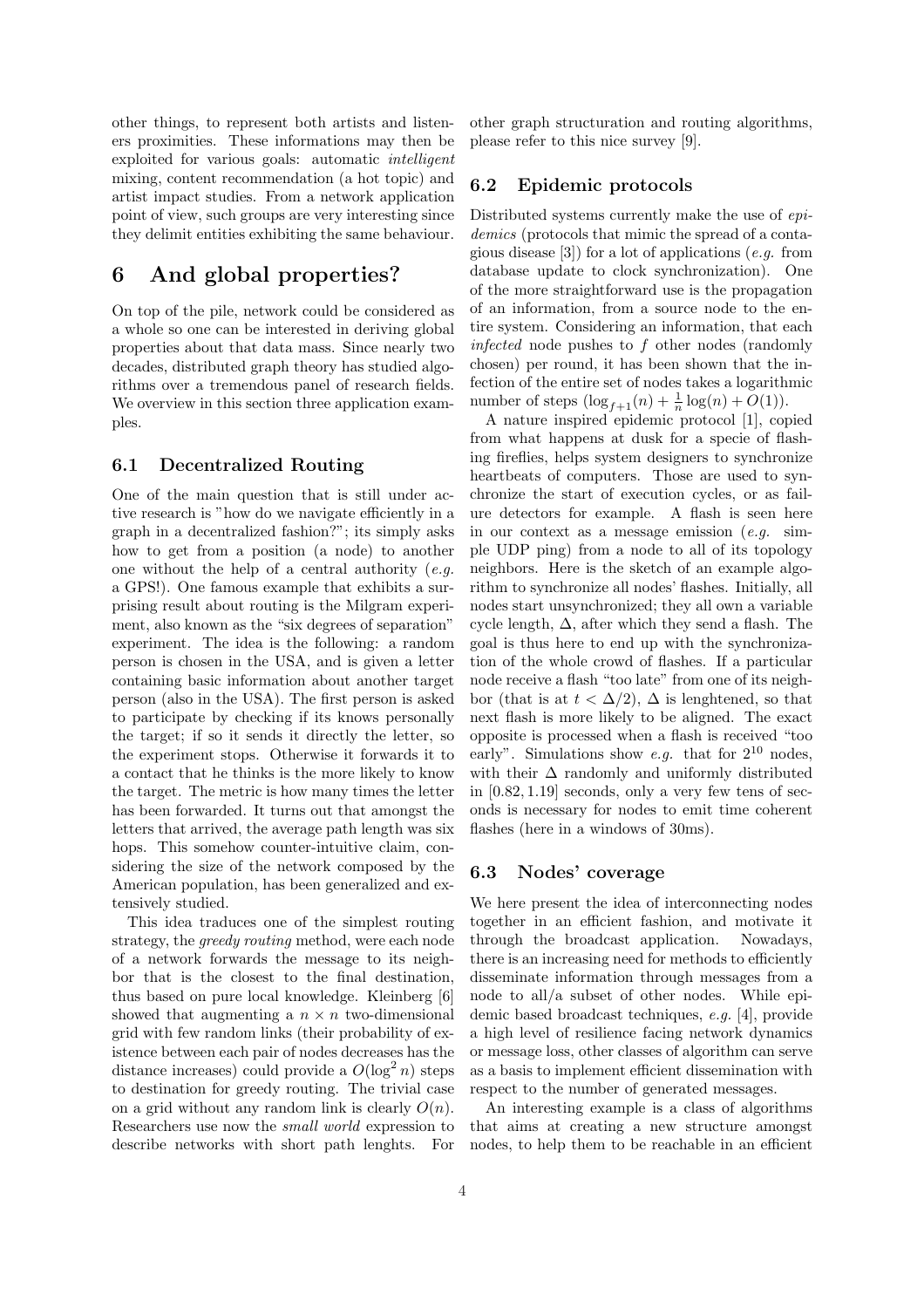other things, to represent both artists and listeners proximities. These informations may then be exploited for various goals: automatic intelligent mixing, content recommendation (a hot topic) and artist impact studies. From a network application point of view, such groups are very interesting since they delimit entities exhibiting the same behaviour.

## 6 And global properties?

On top of the pile, network could be considered as a whole so one can be interested in deriving global properties about that data mass. Since nearly two decades, distributed graph theory has studied algorithms over a tremendous panel of research fields. We overview in this section three application examples.

#### 6.1 Decentralized Routing

One of the main question that is still under active research is "how do we navigate efficiently in a graph in a decentralized fashion?"; its simply asks how to get from a position (a node) to another one without the help of a central authority  $(e.g.,)$ a GPS!). One famous example that exhibits a surprising result about routing is the Milgram experiment, also known as the "six degrees of separation" experiment. The idea is the following: a random person is chosen in the USA, and is given a letter containing basic information about another target person (also in the USA). The first person is asked to participate by checking if its knows personally the target; if so it sends it directly the letter, so the experiment stops. Otherwise it forwards it to a contact that he thinks is the more likely to know the target. The metric is how many times the letter has been forwarded. It turns out that amongst the letters that arrived, the average path length was six hops. This somehow counter-intuitive claim, considering the size of the network composed by the American population, has been generalized and extensively studied.

This idea traduces one of the simplest routing strategy, the greedy routing method, were each node of a network forwards the message to its neighbor that is the closest to the final destination, thus based on pure local knowledge. Kleinberg [6] showed that augmenting a  $n \times n$  two-dimensional grid with few random links (their probability of existence between each pair of nodes decreases has the distance increases) could provide a  $O(\log^2 n)$  steps to destination for greedy routing. The trivial case on a grid without any random link is clearly  $O(n)$ . Researchers use now the small world expression to describe networks with short path lenghts. For

other graph structuration and routing algorithms, please refer to this nice survey [9].

#### 6.2 Epidemic protocols

Distributed systems currently make the use of epidemics (protocols that mimic the spread of a contagious disease [3]) for a lot of applications (e.g. from database update to clock synchronization). One of the more straightforward use is the propagation of an information, from a source node to the entire system. Considering an information, that each infected node pushes to f other nodes (randomly chosen) per round, it has been shown that the infection of the entire set of nodes takes a logarithmic number of steps  $(\log_{f+1}(n) + \frac{1}{n} \log(n) + O(1)).$ 

A nature inspired epidemic protocol [1], copied from what happens at dusk for a specie of flashing fireflies, helps system designers to synchronize heartbeats of computers. Those are used to synchronize the start of execution cycles, or as failure detectors for example. A flash is seen here in our context as a message emission (e.g. simple UDP ping) from a node to all of its topology neighbors. Here is the sketch of an example algorithm to synchronize all nodes' flashes. Initially, all nodes start unsynchronized; they all own a variable cycle length,  $\Delta$ , after which they send a flash. The goal is thus here to end up with the synchronization of the whole crowd of flashes. If a particular node receive a flash "too late" from one of its neighbor (that is at  $t < \Delta/2$ ),  $\Delta$  is lenghtened, so that next flash is more likely to be aligned. The exact opposite is processed when a flash is received "too early". Simulations show *e.g.* that for  $2^{10}$  nodes, with their  $\Delta$  randomly and uniformly distributed in [0.82, 1.19] seconds, only a very few tens of seconds is necessary for nodes to emit time coherent flashes (here in a windows of 30ms).

#### 6.3 Nodes' coverage

We here present the idea of interconnecting nodes together in an efficient fashion, and motivate it through the broadcast application. Nowadays, there is an increasing need for methods to efficiently disseminate information through messages from a node to all/a subset of other nodes. While epidemic based broadcast techniques, e.g. [4], provide a high level of resilience facing network dynamics or message loss, other classes of algorithm can serve as a basis to implement efficient dissemination with respect to the number of generated messages.

An interesting example is a class of algorithms that aims at creating a new structure amongst nodes, to help them to be reachable in an efficient